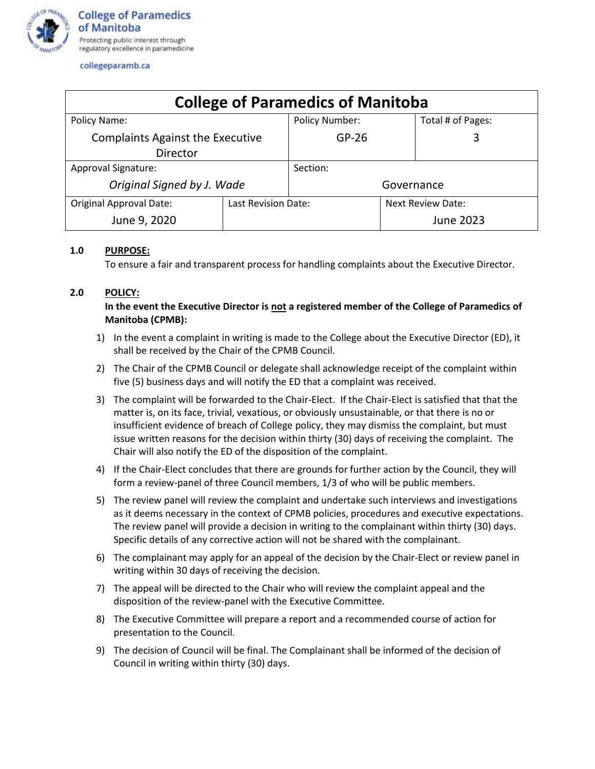

### collegeparamb.ca

| <b>College of Paramedics of Manitoba</b> |                     |                       |                   |                   |
|------------------------------------------|---------------------|-----------------------|-------------------|-------------------|
| Policy Name:                             |                     | <b>Policy Number:</b> |                   | Total # of Pages: |
| <b>Complaints Against the Executive</b>  |                     | $GP-26$               |                   | 3                 |
| <b>Director</b>                          |                     |                       |                   |                   |
| Approval Signature:                      |                     | Section:              |                   |                   |
| Original Signed by J. Wade               |                     | Governance            |                   |                   |
| <b>Original Approval Date:</b>           | Last Revision Date: |                       | Next Review Date: |                   |
| June 9, 2020                             |                     |                       |                   | June 2023         |

## **1.0 PURPOSE:**

To ensure a fair and transparent process for handling complaints about the Executive Director.

## **2.0 POLICY:**

# **In the event the Executive Director is not a registered member of the College of Paramedics of Manitoba (CPMB):**

- 1) In the event a complaint in writing is made to the College about the Executive Director (ED), it shall be received by the Chair of the CPMB Council.
- 2) The Chair of the CPMB Council or delegate shall acknowledge receipt of the complaint within five (5) business days and will notify the ED that a complaint was received.
- 3) The complaint will be forwarded to the Chair-Elect. If the Chair-Elect is satisfied that that the matter is, on its face, trivial, vexatious, or obviously unsustainable, or that there is no or insufficient evidence of breach of College policy, they may dismiss the complaint, but must issue written reasons for the decision within thirty (30) days of receiving the complaint. The Chair will also notify the ED of the disposition of the complaint.
- 4) If the Chair-Elect concludes that there are grounds for further action by the Council, they will form a review-panel of three Council members, 1/3 of who will be public members.
- 5) The review panel will review the complaint and undertake such interviews and investigations as it deems necessary in the context of CPMB policies, procedures and executive expectations. The review panel will provide a decision in writing to the complainant within thirty (30) days. Specific details of any corrective action will not be shared with the complainant.
- 6) The complainant may apply for an appeal of the decision by the Chair-Elect or review panel in writing within 30 days of receiving the decision.
- 7) The appeal will be directed to the Chair who will review the complaint appeal and the disposition of the review-panel with the Executive Committee.
- 8) The Executive Committee will prepare a report and a recommended course of action for presentation to the Council.
- 9) The decision of Council will be final. The Complainant shall be informed of the decision of Council in writing within thirty (30) days.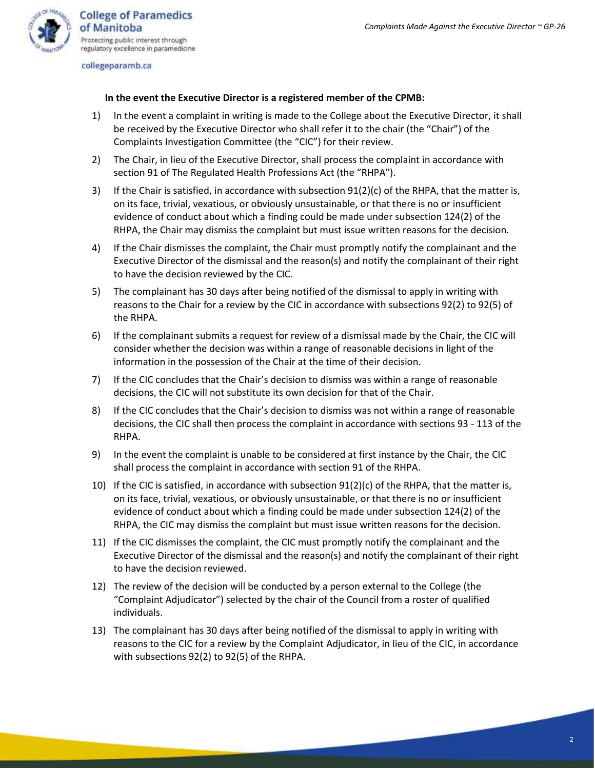

collegeparamb.ca

### **In the event the Executive Director is a registered member of the CPMB:**

- 1) In the event a complaint in writing is made to the College about the Executive Director, it shall be received by the Executive Director who shall refer it to the chair (the "Chair") of the Complaints Investigation Committee (the "CIC") for their review.
- 2) The Chair, in lieu of the Executive Director, shall process the complaint in accordance with section 91 of The Regulated Health Professions Act (the "RHPA").
- 3) If the Chair is satisfied, in accordance with subsection 91(2)(c) of the RHPA, that the matter is, on its face, trivial, vexatious, or obviously unsustainable, or that there is no or insufficient evidence of conduct about which a finding could be made under subsection 124(2) of the RHPA, the Chair may dismiss the complaint but must issue written reasons for the decision.
- 4) If the Chair dismisses the complaint, the Chair must promptly notify the complainant and the Executive Director of the dismissal and the reason(s) and notify the complainant of their right to have the decision reviewed by the CIC.
- 5) The complainant has 30 days after being notified of the dismissal to apply in writing with reasons to the Chair for a review by the CIC in accordance with subsections 92(2) to 92(5) of the RHPA.
- 6) If the complainant submits a request for review of a dismissal made by the Chair, the CIC will consider whether the decision was within a range of reasonable decisions in light of the information in the possession of the Chair at the time of their decision.
- 7) If the CIC concludes that the Chair's decision to dismiss was within a range of reasonable decisions, the CIC will not substitute its own decision for that of the Chair.
- 8) If the CIC concludes that the Chair's decision to dismiss was not within a range of reasonable decisions, the CIC shall then process the complaint in accordance with sections 93 - 113 of the RHPA.
- 9) In the event the complaint is unable to be considered at first instance by the Chair, the CIC shall process the complaint in accordance with section 91 of the RHPA.
- 10) If the CIC is satisfied, in accordance with subsection 91(2)(c) of the RHPA, that the matter is, on its face, trivial, vexatious, or obviously unsustainable, or that there is no or insufficient evidence of conduct about which a finding could be made under subsection 124(2) of the RHPA, the CIC may dismiss the complaint but must issue written reasons for the decision.
- 11) If the CIC dismisses the complaint, the CIC must promptly notify the complainant and the Executive Director of the dismissal and the reason(s) and notify the complainant of their right to have the decision reviewed.
- 12) The review of the decision will be conducted by a person external to the College (the "Complaint Adjudicator") selected by the chair of the Council from a roster of qualified individuals.
- 13) The complainant has 30 days after being notified of the dismissal to apply in writing with reasons to the CIC for a review by the Complaint Adjudicator, in lieu of the CIC, in accordance with subsections 92(2) to 92(5) of the RHPA.